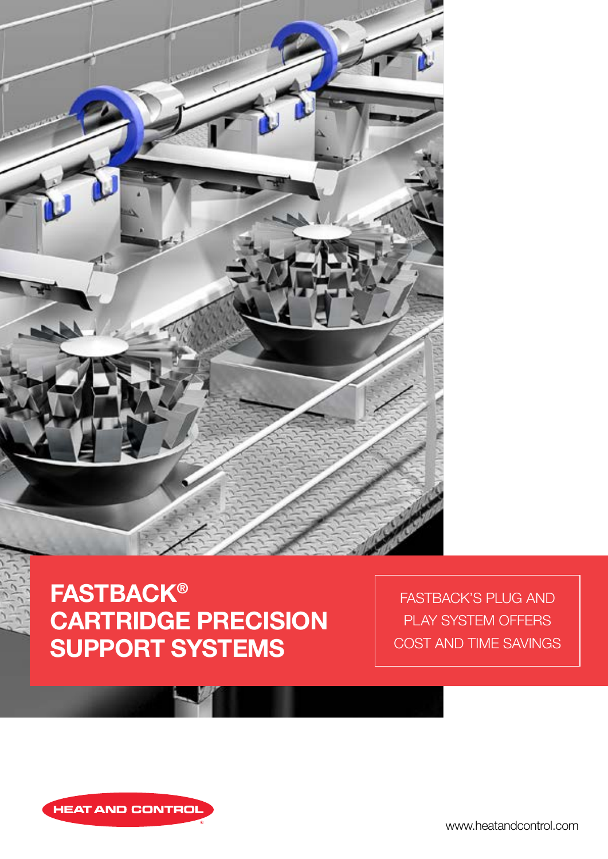

# **FASTBACK®** CARTRIDGE PRECISION SUPPORT SYSTEMS

FASTBACK'S PLUG AND PLAY SYSTEM OFFERS COST AND TIME SAVINGS



www.heatandcontrol.com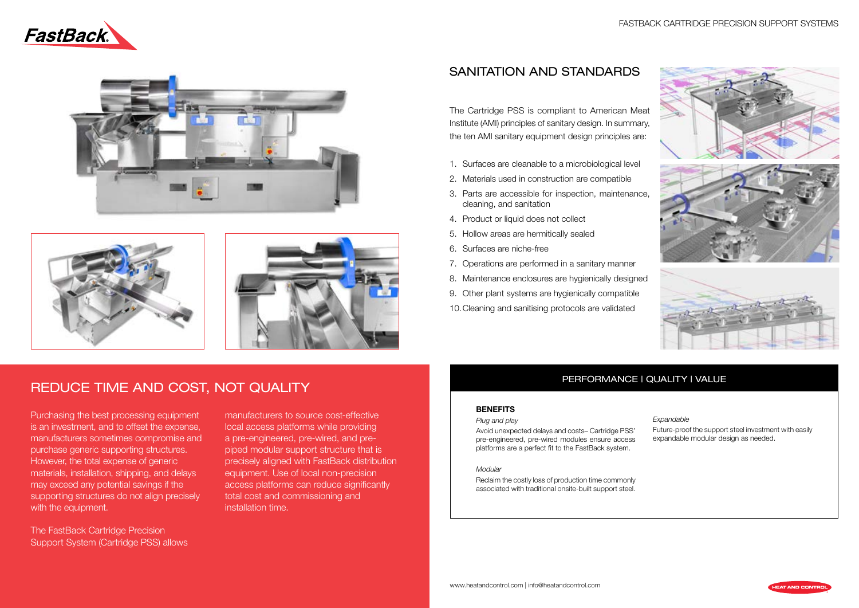### FASTBACK CARTRIDGE PRECISION SUPPORT SYSTEMS





# PERFORMANCE | QUALITY | VALUE

# SANITATION AND STANDARDS

The Cartridge PSS is compliant to American Meat Institute (AMI) principles of sanitary design. In summary, the ten AMI sanitary equipment design principles are:

- 1. Surfaces are cleanable to a microbiological level
- 2. Materials used in construction are compatible
- 3. Parts are accessible for inspection, maintenance, cleaning, and sanitation
- 4. Product or liquid does not collect
- 5. Hollow areas are hermitically sealed
- 6. Surfaces are niche-free
- 7. Operations are performed in a sanitary manner
- 8. Maintenance enclosures are hygienically designed
- 9. Other plant systems are hygienically compatible
- 10.Cleaning and sanitising protocols are validated

### **BENEFITS**

Purchasing the best processing equipment is an investment, and to offset the expense, manufacturers sometimes compromise and purchase generic supporting structures. However, the total expense of generic materials, installation, shipping, and delays may exceed any potential savings if the supporting structures do not align precisely with the equipment.

#### *Plug and play*

Avoid unexpected delays and costs– Cartridge PSS' pre-engineered, pre-wired modules ensure access platforms are a perfect fit to the FastBack system.

#### *Modular*

Reclaim the costly loss of production time commonly associated with traditional onsite-built support steel.

#### *Expandable*

Future-proof the support steel investment with easily expandable modular design as needed.

The FastBack Cartridge Precision Support System (Cartridge PSS) allows manufacturers to source cost-effective local access platforms while providing a pre-engineered, pre-wired, and prepiped modular support structure that is precisely aligned with FastBack distribution equipment. Use of local non-precision access platforms can reduce significantly total cost and commissioning and installation time.









# REDUCE TIME AND COST, NOT QUALITY